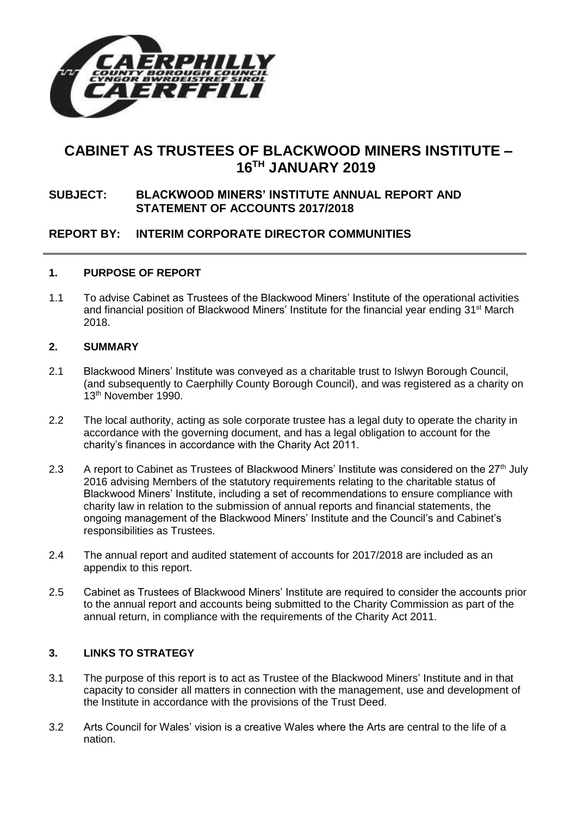

# **CABINET AS TRUSTEES OF BLACKWOOD MINERS INSTITUTE – 16 TH JANUARY 2019**

## **SUBJECT: BLACKWOOD MINERS' INSTITUTE ANNUAL REPORT AND STATEMENT OF ACCOUNTS 2017/2018**

# **REPORT BY: INTERIM CORPORATE DIRECTOR COMMUNITIES**

#### **1. PURPOSE OF REPORT**

1.1 To advise Cabinet as Trustees of the Blackwood Miners' Institute of the operational activities and financial position of Blackwood Miners' Institute for the financial year ending 31<sup>st</sup> March 2018.

#### **2. SUMMARY**

- 2.1 Blackwood Miners' Institute was conveyed as a charitable trust to Islwyn Borough Council, (and subsequently to Caerphilly County Borough Council), and was registered as a charity on 13<sup>th</sup> November 1990.
- 2.2 The local authority, acting as sole corporate trustee has a legal duty to operate the charity in accordance with the governing document, and has a legal obligation to account for the charity's finances in accordance with the Charity Act 2011.
- 2.3 A report to Cabinet as Trustees of Blackwood Miners' Institute was considered on the 27<sup>th</sup> July 2016 advising Members of the statutory requirements relating to the charitable status of Blackwood Miners' Institute, including a set of recommendations to ensure compliance with charity law in relation to the submission of annual reports and financial statements, the ongoing management of the Blackwood Miners' Institute and the Council's and Cabinet's responsibilities as Trustees.
- 2.4 The annual report and audited statement of accounts for 2017/2018 are included as an appendix to this report.
- 2.5 Cabinet as Trustees of Blackwood Miners' Institute are required to consider the accounts prior to the annual report and accounts being submitted to the Charity Commission as part of the annual return, in compliance with the requirements of the Charity Act 2011.

#### **3. LINKS TO STRATEGY**

- 3.1 The purpose of this report is to act as Trustee of the Blackwood Miners' Institute and in that capacity to consider all matters in connection with the management, use and development of the Institute in accordance with the provisions of the Trust Deed.
- 3.2 Arts Council for Wales' vision is a creative Wales where the Arts are central to the life of a nation.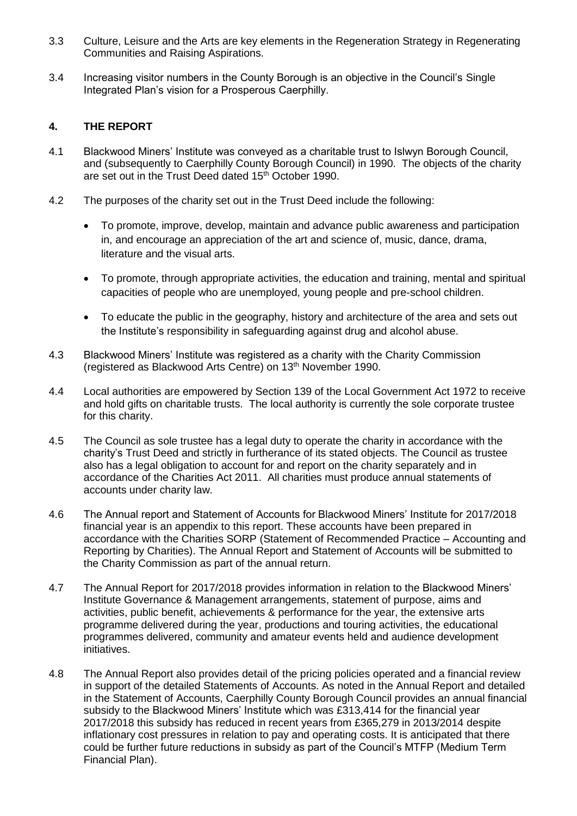- 3.3 Culture, Leisure and the Arts are key elements in the Regeneration Strategy in Regenerating Communities and Raising Aspirations.
- 3.4 Increasing visitor numbers in the County Borough is an objective in the Council's Single Integrated Plan's vision for a Prosperous Caerphilly.

### **4. THE REPORT**

- 4.1 Blackwood Miners' Institute was conveyed as a charitable trust to Islwyn Borough Council, and (subsequently to Caerphilly County Borough Council) in 1990. The objects of the charity are set out in the Trust Deed dated 15<sup>th</sup> October 1990.
- 4.2 The purposes of the charity set out in the Trust Deed include the following:
	- To promote, improve, develop, maintain and advance public awareness and participation in, and encourage an appreciation of the art and science of, music, dance, drama, literature and the visual arts.
	- To promote, through appropriate activities, the education and training, mental and spiritual capacities of people who are unemployed, young people and pre-school children.
	- To educate the public in the geography, history and architecture of the area and sets out the Institute's responsibility in safeguarding against drug and alcohol abuse.
- 4.3 Blackwood Miners' Institute was registered as a charity with the Charity Commission (registered as Blackwood Arts Centre) on 13<sup>th</sup> November 1990.
- 4.4 Local authorities are empowered by Section 139 of the Local Government Act 1972 to receive and hold gifts on charitable trusts. The local authority is currently the sole corporate trustee for this charity.
- 4.5 The Council as sole trustee has a legal duty to operate the charity in accordance with the charity's Trust Deed and strictly in furtherance of its stated objects. The Council as trustee also has a legal obligation to account for and report on the charity separately and in accordance of the Charities Act 2011. All charities must produce annual statements of accounts under charity law.
- 4.6 The Annual report and Statement of Accounts for Blackwood Miners' Institute for 2017/2018 financial year is an appendix to this report. These accounts have been prepared in accordance with the Charities SORP (Statement of Recommended Practice – Accounting and Reporting by Charities). The Annual Report and Statement of Accounts will be submitted to the Charity Commission as part of the annual return.
- 4.7 The Annual Report for 2017/2018 provides information in relation to the Blackwood Miners' Institute Governance & Management arrangements, statement of purpose, aims and activities, public benefit, achievements & performance for the year, the extensive arts programme delivered during the year, productions and touring activities, the educational programmes delivered, community and amateur events held and audience development initiatives.
- 4.8 The Annual Report also provides detail of the pricing policies operated and a financial review in support of the detailed Statements of Accounts. As noted in the Annual Report and detailed in the Statement of Accounts, Caerphilly County Borough Council provides an annual financial subsidy to the Blackwood Miners' Institute which was £313,414 for the financial year 2017/2018 this subsidy has reduced in recent years from £365,279 in 2013/2014 despite inflationary cost pressures in relation to pay and operating costs. It is anticipated that there could be further future reductions in subsidy as part of the Council's MTFP (Medium Term Financial Plan).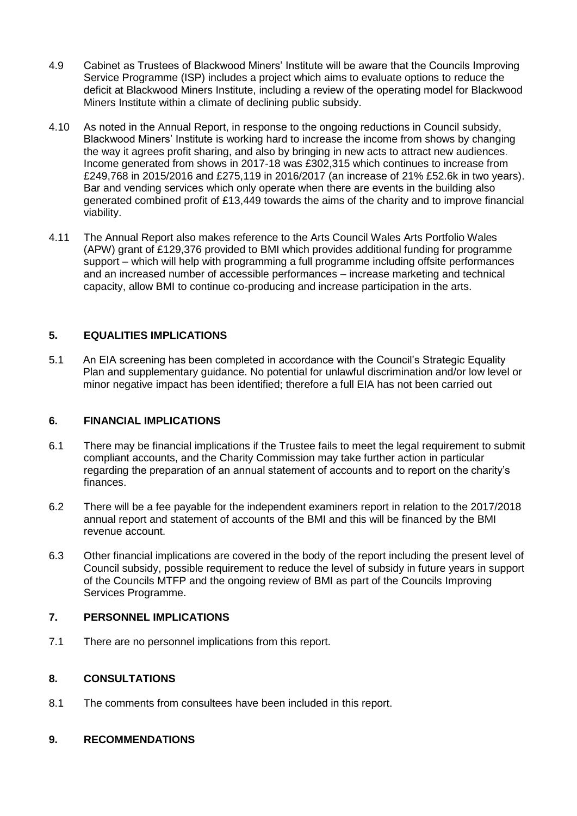- 4.9 Cabinet as Trustees of Blackwood Miners' Institute will be aware that the Councils Improving Service Programme (ISP) includes a project which aims to evaluate options to reduce the deficit at Blackwood Miners Institute, including a review of the operating model for Blackwood Miners Institute within a climate of declining public subsidy.
- 4.10 As noted in the Annual Report, in response to the ongoing reductions in Council subsidy, Blackwood Miners' Institute is working hard to increase the income from shows by changing the way it agrees profit sharing, and also by bringing in new acts to attract new audiences. Income generated from shows in 2017-18 was £302,315 which continues to increase from £249,768 in 2015/2016 and £275,119 in 2016/2017 (an increase of 21% £52.6k in two years). Bar and vending services which only operate when there are events in the building also generated combined profit of £13,449 towards the aims of the charity and to improve financial viability.
- 4.11 The Annual Report also makes reference to the Arts Council Wales Arts Portfolio Wales (APW) grant of £129,376 provided to BMI which provides additional funding for programme support – which will help with programming a full programme including offsite performances and an increased number of accessible performances – increase marketing and technical capacity, allow BMI to continue co-producing and increase participation in the arts.

# **5. EQUALITIES IMPLICATIONS**

5.1 An EIA screening has been completed in accordance with the Council's Strategic Equality Plan and supplementary guidance. No potential for unlawful discrimination and/or low level or minor negative impact has been identified; therefore a full EIA has not been carried out

## **6. FINANCIAL IMPLICATIONS**

- 6.1 There may be financial implications if the Trustee fails to meet the legal requirement to submit compliant accounts, and the Charity Commission may take further action in particular regarding the preparation of an annual statement of accounts and to report on the charity's finances.
- 6.2 There will be a fee payable for the independent examiners report in relation to the 2017/2018 annual report and statement of accounts of the BMI and this will be financed by the BMI revenue account.
- 6.3 Other financial implications are covered in the body of the report including the present level of Council subsidy, possible requirement to reduce the level of subsidy in future years in support of the Councils MTFP and the ongoing review of BMI as part of the Councils Improving Services Programme.

## **7. PERSONNEL IMPLICATIONS**

7.1 There are no personnel implications from this report.

## **8. CONSULTATIONS**

8.1 The comments from consultees have been included in this report.

#### **9. RECOMMENDATIONS**